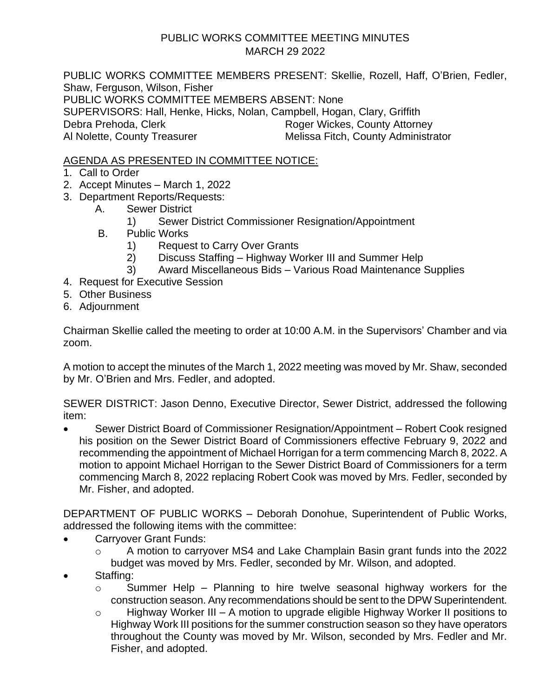## PUBLIC WORKS COMMITTEE MEETING MINUTES MARCH 29 2022

PUBLIC WORKS COMMITTEE MEMBERS PRESENT: Skellie, Rozell, Haff, O'Brien, Fedler, Shaw, Ferguson, Wilson, Fisher PUBLIC WORKS COMMITTEE MEMBERS ABSENT: None SUPERVISORS: Hall, Henke, Hicks, Nolan, Campbell, Hogan, Clary, Griffith Debra Prehoda, Clerk Roger Wickes, County Attorney Al Nolette, County Treasurer Melissa Fitch, County Administrator

AGENDA AS PRESENTED IN COMMITTEE NOTICE:

- 1. Call to Order
- 2. Accept Minutes March 1, 2022
- 3. Department Reports/Requests:
	- A. Sewer District
		- 1) Sewer District Commissioner Resignation/Appointment
	- B. Public Works
		- 1) Request to Carry Over Grants
		- 2) Discuss Staffing Highway Worker III and Summer Help
		- 3) Award Miscellaneous Bids Various Road Maintenance Supplies
- 4. Request for Executive Session
- 5. Other Business
- 6. Adjournment

Chairman Skellie called the meeting to order at 10:00 A.M. in the Supervisors' Chamber and via zoom.

A motion to accept the minutes of the March 1, 2022 meeting was moved by Mr. Shaw, seconded by Mr. O'Brien and Mrs. Fedler, and adopted.

SEWER DISTRICT: Jason Denno, Executive Director, Sewer District, addressed the following item:

• Sewer District Board of Commissioner Resignation/Appointment – Robert Cook resigned his position on the Sewer District Board of Commissioners effective February 9, 2022 and recommending the appointment of Michael Horrigan for a term commencing March 8, 2022. A motion to appoint Michael Horrigan to the Sewer District Board of Commissioners for a term commencing March 8, 2022 replacing Robert Cook was moved by Mrs. Fedler, seconded by Mr. Fisher, and adopted.

DEPARTMENT OF PUBLIC WORKS – Deborah Donohue, Superintendent of Public Works, addressed the following items with the committee:

- Carryover Grant Funds:
	- o A motion to carryover MS4 and Lake Champlain Basin grant funds into the 2022 budget was moved by Mrs. Fedler, seconded by Mr. Wilson, and adopted.
- Staffing:
	- o Summer Help Planning to hire twelve seasonal highway workers for the construction season. Any recommendations should be sent to the DPW Superintendent.
	- o Highway Worker III A motion to upgrade eligible Highway Worker II positions to Highway Work III positions for the summer construction season so they have operators throughout the County was moved by Mr. Wilson, seconded by Mrs. Fedler and Mr. Fisher, and adopted.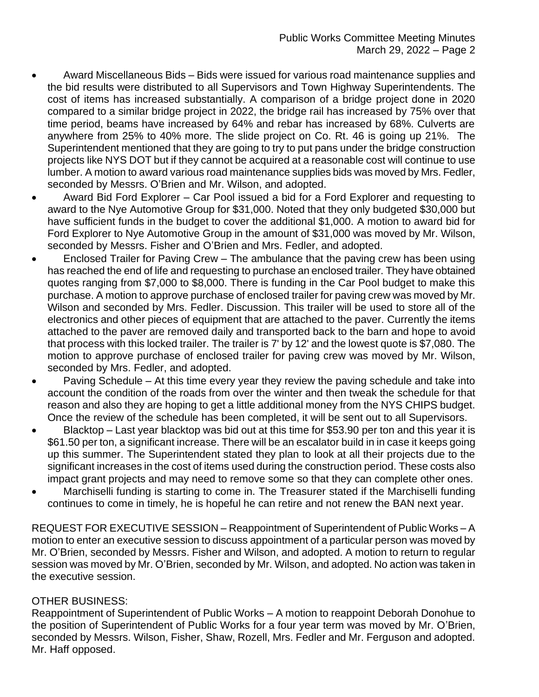- Award Miscellaneous Bids Bids were issued for various road maintenance supplies and the bid results were distributed to all Supervisors and Town Highway Superintendents. The cost of items has increased substantially. A comparison of a bridge project done in 2020 compared to a similar bridge project in 2022, the bridge rail has increased by 75% over that time period, beams have increased by 64% and rebar has increased by 68%. Culverts are anywhere from 25% to 40% more. The slide project on Co. Rt. 46 is going up 21%. The Superintendent mentioned that they are going to try to put pans under the bridge construction projects like NYS DOT but if they cannot be acquired at a reasonable cost will continue to use lumber. A motion to award various road maintenance supplies bids was moved by Mrs. Fedler, seconded by Messrs. O'Brien and Mr. Wilson, and adopted.
- Award Bid Ford Explorer Car Pool issued a bid for a Ford Explorer and requesting to award to the Nye Automotive Group for \$31,000. Noted that they only budgeted \$30,000 but have sufficient funds in the budget to cover the additional \$1,000. A motion to award bid for Ford Explorer to Nye Automotive Group in the amount of \$31,000 was moved by Mr. Wilson, seconded by Messrs. Fisher and O'Brien and Mrs. Fedler, and adopted.
- Enclosed Trailer for Paving Crew The ambulance that the paving crew has been using has reached the end of life and requesting to purchase an enclosed trailer. They have obtained quotes ranging from \$7,000 to \$8,000. There is funding in the Car Pool budget to make this purchase. A motion to approve purchase of enclosed trailer for paving crew was moved by Mr. Wilson and seconded by Mrs. Fedler. Discussion. This trailer will be used to store all of the electronics and other pieces of equipment that are attached to the paver. Currently the items attached to the paver are removed daily and transported back to the barn and hope to avoid that process with this locked trailer. The trailer is 7' by 12' and the lowest quote is \$7,080. The motion to approve purchase of enclosed trailer for paving crew was moved by Mr. Wilson, seconded by Mrs. Fedler, and adopted.
- Paving Schedule At this time every year they review the paving schedule and take into account the condition of the roads from over the winter and then tweak the schedule for that reason and also they are hoping to get a little additional money from the NYS CHIPS budget. Once the review of the schedule has been completed, it will be sent out to all Supervisors.
- Blacktop Last year blacktop was bid out at this time for \$53.90 per ton and this year it is \$61.50 per ton, a significant increase. There will be an escalator build in in case it keeps going up this summer. The Superintendent stated they plan to look at all their projects due to the significant increases in the cost of items used during the construction period. These costs also impact grant projects and may need to remove some so that they can complete other ones.
- Marchiselli funding is starting to come in. The Treasurer stated if the Marchiselli funding continues to come in timely, he is hopeful he can retire and not renew the BAN next year.

REQUEST FOR EXECUTIVE SESSION – Reappointment of Superintendent of Public Works – A motion to enter an executive session to discuss appointment of a particular person was moved by Mr. O'Brien, seconded by Messrs. Fisher and Wilson, and adopted. A motion to return to regular session was moved by Mr. O'Brien, seconded by Mr. Wilson, and adopted. No action was taken in the executive session.

## OTHER BUSINESS:

Reappointment of Superintendent of Public Works – A motion to reappoint Deborah Donohue to the position of Superintendent of Public Works for a four year term was moved by Mr. O'Brien, seconded by Messrs. Wilson, Fisher, Shaw, Rozell, Mrs. Fedler and Mr. Ferguson and adopted. Mr. Haff opposed.